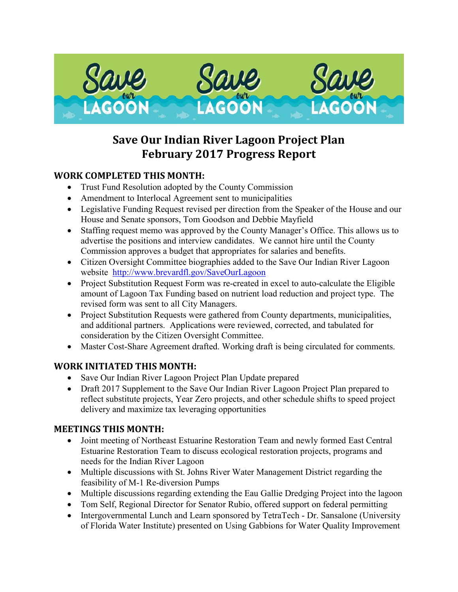

## **Save Our Indian River Lagoon Project Plan February 2017 Progress Report**

## **WORK COMPLETED THIS MONTH:**

- Trust Fund Resolution adopted by the County Commission
- Amendment to Interlocal Agreement sent to municipalities
- Legislative Funding Request revised per direction from the Speaker of the House and our House and Senate sponsors, Tom Goodson and Debbie Mayfield
- Staffing request memo was approved by the County Manager's Office. This allows us to advertise the positions and interview candidates. We cannot hire until the County Commission approves a budget that appropriates for salaries and benefits.
- Citizen Oversight Committee biographies added to the Save Our Indian River Lagoon website <http://www.brevardfl.gov/SaveOurLagoon>
- Project Substitution Request Form was re-created in excel to auto-calculate the Eligible amount of Lagoon Tax Funding based on nutrient load reduction and project type. The revised form was sent to all City Managers.
- Project Substitution Requests were gathered from County departments, municipalities, and additional partners. Applications were reviewed, corrected, and tabulated for consideration by the Citizen Oversight Committee.
- Master Cost-Share Agreement drafted. Working draft is being circulated for comments.

## **WORK INITIATED THIS MONTH:**

- Save Our Indian River Lagoon Project Plan Update prepared
- Draft 2017 Supplement to the Save Our Indian River Lagoon Project Plan prepared to reflect substitute projects, Year Zero projects, and other schedule shifts to speed project delivery and maximize tax leveraging opportunities

## **MEETINGS THIS MONTH:**

- Joint meeting of Northeast Estuarine Restoration Team and newly formed East Central Estuarine Restoration Team to discuss ecological restoration projects, programs and needs for the Indian River Lagoon
- Multiple discussions with St. Johns River Water Management District regarding the feasibility of M-1 Re-diversion Pumps
- Multiple discussions regarding extending the Eau Gallie Dredging Project into the lagoon
- Tom Self, Regional Director for Senator Rubio, offered support on federal permitting
- Intergovernmental Lunch and Learn sponsored by TetraTech Dr. Sansalone (University of Florida Water Institute) presented on Using Gabbions for Water Quality Improvement